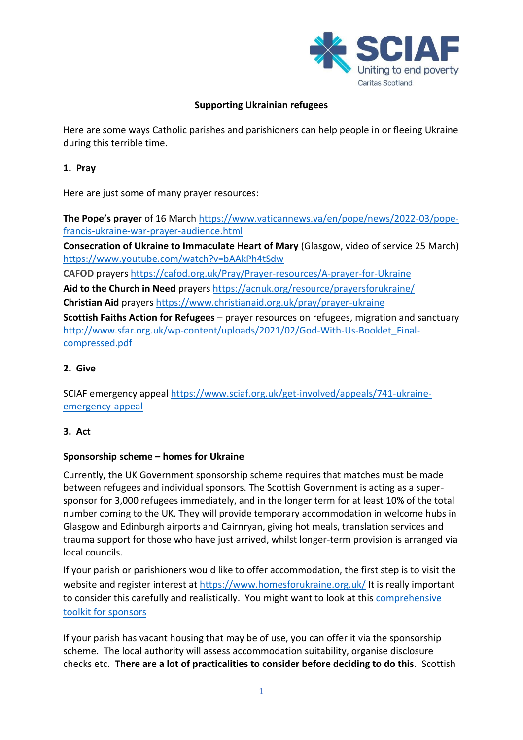

# **Supporting Ukrainian refugees**

Here are some ways Catholic parishes and parishioners can help people in or fleeing Ukraine during this terrible time.

## **1. Pray**

Here are just some of many prayer resources:

**The Pope's prayer** of 16 March [https://www.vaticannews.va/en/pope/news/2022-03/pope](https://www.vaticannews.va/en/pope/news/2022-03/pope-francis-ukraine-war-prayer-audience.html)[francis-ukraine-war-prayer-audience.html](https://www.vaticannews.va/en/pope/news/2022-03/pope-francis-ukraine-war-prayer-audience.html)

**Consecration of Ukraine to Immaculate Heart of Mary** (Glasgow, video of service 25 March) <https://www.youtube.com/watch?v=bAAkPh4tSdw>

**CAFOD** prayer[s https://cafod.org.uk/Pray/Prayer-resources/A-prayer-for-Ukraine](https://cafod.org.uk/Pray/Prayer-resources/A-prayer-for-Ukraine)

**Aid to the Church in Need** prayers <https://acnuk.org/resource/prayersforukraine/>

**Christian Aid** prayers<https://www.christianaid.org.uk/pray/prayer-ukraine>

**Scottish Faiths Action for Refugees** – prayer resources on refugees, migration and sanctuary [http://www.sfar.org.uk/wp-content/uploads/2021/02/God-With-Us-Booklet\\_Final](http://www.sfar.org.uk/wp-content/uploads/2021/02/God-With-Us-Booklet_Final-compressed.pdf)[compressed.pdf](http://www.sfar.org.uk/wp-content/uploads/2021/02/God-With-Us-Booklet_Final-compressed.pdf)

#### **2. Give**

SCIAF emergency appeal [https://www.sciaf.org.uk/get-involved/appeals/741-ukraine](https://www.sciaf.org.uk/get-involved/appeals/741-ukraine-emergency-appeal)[emergency-appeal](https://www.sciaf.org.uk/get-involved/appeals/741-ukraine-emergency-appeal)

## **3. Act**

## **Sponsorship scheme – homes for Ukraine**

Currently, the UK Government sponsorship scheme requires that matches must be made between refugees and individual sponsors. The Scottish Government is acting as a supersponsor for 3,000 refugees immediately, and in the longer term for at least 10% of the total number coming to the UK. They will provide temporary accommodation in welcome hubs in Glasgow and Edinburgh airports and Cairnryan, giving hot meals, translation services and trauma support for those who have just arrived, whilst longer-term provision is arranged via local councils.

If your parish or parishioners would like to offer accommodation, the first step is to visit the website and register interest at<https://www.homesforukraine.org.uk/> It is really important to consider this carefully and realistically. You might want to look at this [comprehensive](https://resetuk.org/assets/Homes-for-Ukraine--Sponsor-Toolkit_v1_FINAL-1648486743.pdf)  [toolkit for sponsors](https://resetuk.org/assets/Homes-for-Ukraine--Sponsor-Toolkit_v1_FINAL-1648486743.pdf)

If your parish has vacant housing that may be of use, you can offer it via the sponsorship scheme. The local authority will assess accommodation suitability, organise disclosure checks etc. **There are a lot of practicalities to consider before deciding to do this**. Scottish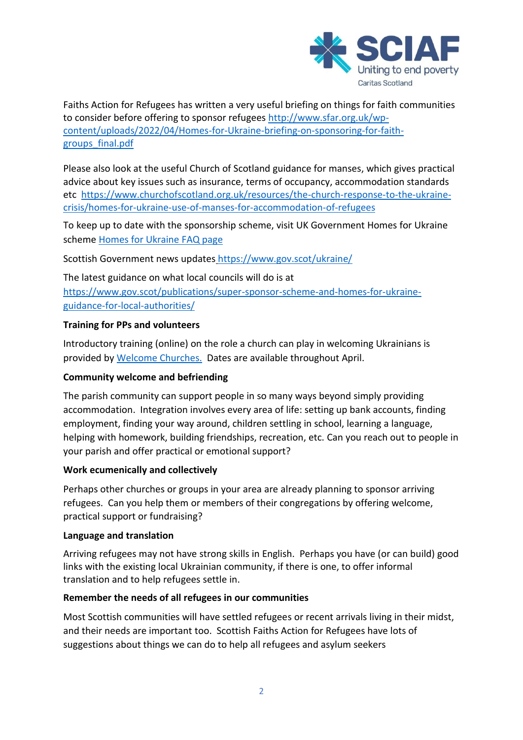

Faiths Action for Refugees has written a very useful briefing on things for faith communities to consider before offering to sponsor refugees [http://www.sfar.org.uk/wp](http://www.sfar.org.uk/wp-content/uploads/2022/04/Homes-for-Ukraine-briefing-on-sponsoring-for-faith-groups_final.pdf)[content/uploads/2022/04/Homes-for-Ukraine-briefing-on-sponsoring-for-faith](http://www.sfar.org.uk/wp-content/uploads/2022/04/Homes-for-Ukraine-briefing-on-sponsoring-for-faith-groups_final.pdf)[groups\\_final.pdf](http://www.sfar.org.uk/wp-content/uploads/2022/04/Homes-for-Ukraine-briefing-on-sponsoring-for-faith-groups_final.pdf)

Please also look at the useful Church of Scotland guidance for manses, which gives practical advice about key issues such as insurance, terms of occupancy, accommodation standards etc [https://www.churchofscotland.org.uk/resources/the-church-response-to-the-ukraine](https://www.churchofscotland.org.uk/resources/the-church-response-to-the-ukraine-crisis/homes-for-ukraine-use-of-manses-for-accommodation-of-refugees)[crisis/homes-for-ukraine-use-of-manses-for-accommodation-of-refugees](https://www.churchofscotland.org.uk/resources/the-church-response-to-the-ukraine-crisis/homes-for-ukraine-use-of-manses-for-accommodation-of-refugees)

To keep up to date with the sponsorship scheme, visit UK Government Homes for Ukraine scheme Homes for [Ukraine](https://www.gov.uk/guidance/homes-for-ukraine-scheme-frequently-asked-questions?utm_medium=email&utm_campaign=govuk-notifications-topic&utm_source=f8a446aa-c491-43a1-9fd6-561f9bbd23d5&utm_content=immediately) FAQ page

Scottish Government news updates <https://www.gov.scot/ukraine/>

The latest guidance on what local councils will do is at https://www.gov.scot/publications/super-sponsor-scheme-and-homes-for-ukraineguidance-for-local-authorities/

## **Training for PPs and volunteers**

Introductory training (online) on the role a church can play in welcoming Ukrainians is provided b[y Welcome Churches.](https://welcomechurches.org/churches/events/) Dates are available throughout April.

## **Community welcome and befriending**

The parish community can support people in so many ways beyond simply providing accommodation. Integration involves every area of life: setting up bank accounts, finding employment, finding your way around, children settling in school, learning a language, helping with homework, building friendships, recreation, etc. Can you reach out to people in your parish and offer practical or emotional support?

## **Work ecumenically and collectively**

Perhaps other churches or groups in your area are already planning to sponsor arriving refugees. Can you help them or members of their congregations by offering welcome, practical support or fundraising?

#### **Language and translation**

Arriving refugees may not have strong skills in English. Perhaps you have (or can build) good links with the existing local Ukrainian community, if there is one, to offer informal translation and to help refugees settle in.

## **Remember the needs of all refugees in our communities**

Most Scottish communities will have settled refugees or recent arrivals living in their midst, and their needs are important too. Scottish Faiths Action for Refugees have lots of suggestions about things we can do to help all refugees and asylum seekers